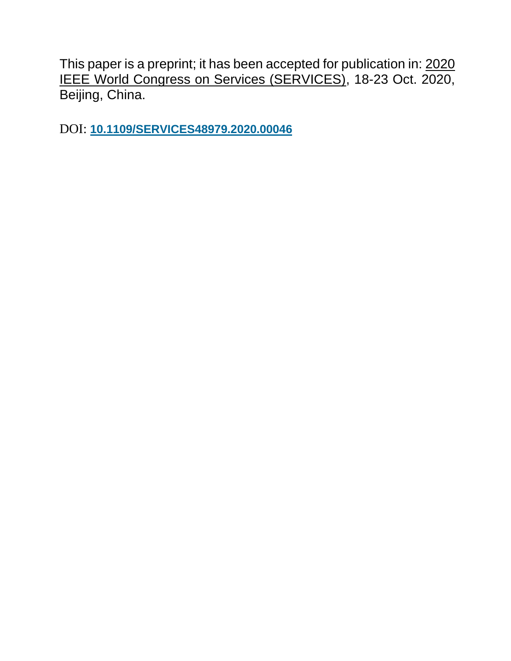This paper is a preprint; it has been accepted for publication in: [2020](https://ieeexplore.ieee.org/xpl/conhome/9284143/proceeding)  [IEEE World Congress on Services \(SERVICES\),](https://ieeexplore.ieee.org/xpl/conhome/9284143/proceeding) 18-23 Oct. 2020, Beijing, China.

DOI: **[10.1109/SERVICES48979.2020.00046](https://doi.org/10.1109/SERVICES48979.2020.00046)**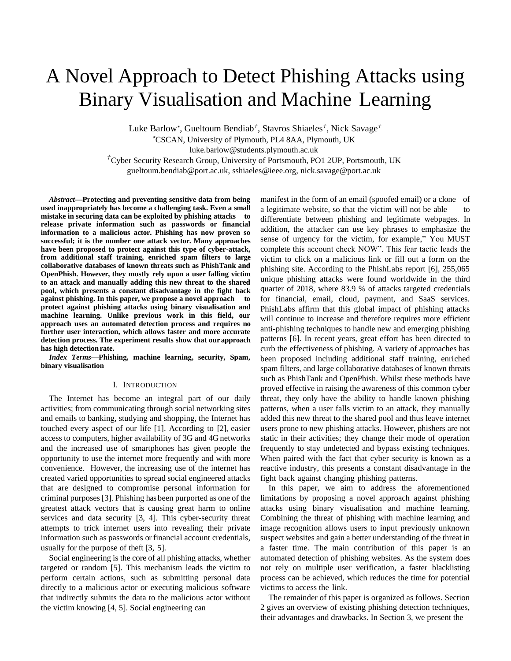# A Novel Approach to Detect Phishing Attacks using Binary Visualisation and Machine Learning

Luke Barlow<sup>∗</sup> , Gueltoum Bendiab*†* , Stavros Shiaeles*†* , Nick Savage*†*

<sup>∗</sup>CSCAN, University of Plymouth, PL4 8AA, Plymouth, UK

[luke.barlo](mailto:luke.barlow@students.plymouth.ac.uk)[w@students.plymouth.ac.uk](mailto:w@students.plymouth.ac.uk)

*†*Cyber Security Research Group, University of Portsmouth, PO1 2UP, Portsmouth, UK

[gueltoum.bendiab@port.ac.uk,](mailto:gueltoum.bendiab@port.ac.uk) [sshiaeles@ieee.org,](mailto:sshiaeles@ieee.org) [nick.sav](mailto:nick.savage@port.ac.uk)[age@port.ac.uk](mailto:age@port.ac.uk)

*Abstract***—Protecting and preventing sensitive data from being used inappropriately has become a challenging task. Even a small mistake in securing data can be exploited by phishing attacks to release private information such as passwords or financial information to a malicious actor. Phishing has now proven so successful; it is the number one attack vector. Many approaches have been proposed to protect against this type of cyber-attack, from additional staff training, enriched spam filters to large collaborative databases of known threats such as PhishTank and OpenPhish. However, they mostly rely upon a user falling victim to an attack and manually adding this new threat to the shared pool, which presents a constant disadvantage in the fight back against phishing. In this paper, we propose a novel approach to protect against phishing attacks using binary visualisation and machine learning. Unlike previous work in this field, our approach uses an automated detection process and requires no further user interaction, which allows faster and more accurate detection process. The experiment results show that our approach has high detectionrate.**

*Index Terms***—Phishing, machine learning, security, Spam, binary visualisation**

### I. INTRODUCTION

The Internet has become an integral part of our daily activities; from communicating through social networking sites and emails to banking, studying and shopping, the Internet has touched every aspect of our life [1]. According to [2], easier access to computers, higher availability of 3G and 4G networks and the increased use of smartphones has given people the opportunity to use the internet more frequently and with more convenience. However, the increasing use of the internet has created varied opportunities to spread social engineered attacks that are designed to compromise personal information for criminal purposes [3]. Phishing has been purported as one of the greatest attack vectors that is causing great harm to online services and data security [3, 4]. This cyber-security threat attempts to trick internet users into revealing their private information such as passwords or financial account credentials, usually for the purpose of theft [3, 5].

Social engineering is the core of all phishing attacks, whether targeted or random [5]. This mechanism leads the victim to perform certain actions, such as submitting personal data directly to a malicious actor or executing malicious software that indirectly submits the data to the malicious actor without the victim knowing [4, 5]. Social engineering can

manifest in the form of an email (spoofed email) or a clone of a legitimate website, so that the victim will not be able to differentiate between phishing and legitimate webpages. In addition, the attacker can use key phrases to emphasize the sense of urgency for the victim, for example," You MUST complete this account check NOW". This fear tactic leads the victim to click on a malicious link or fill out a form on the phishing site. According to the PhishLabs report [6], 255,065 unique phishing attacks were found worldwide in the third quarter of 2018, where 83.9 % of attacks targeted credentials for financial, email, cloud, payment, and SaaS services. PhishLabs affirm that this global impact of phishing attacks will continue to increase and therefore requires more efficient anti-phishing techniques to handle new and emerging phishing patterns [6]. In recent years, great effort has been directed to curb the effectiveness of phishing. A variety of approaches has been proposed including additional staff training, enriched spam filters, and large collaborative databases of known threats such as PhishTank and OpenPhish. Whilst these methods have proved effective in raising the awareness of this common cyber threat, they only have the ability to handle known phishing patterns, when a user falls victim to an attack, they manually added this new threat to the shared pool and thus leave internet users prone to new phishing attacks. However, phishers are not static in their activities; they change their mode of operation frequently to stay undetected and bypass existing techniques. When paired with the fact that cyber security is known as a reactive industry, this presents a constant disadvantage in the fight back against changing phishing patterns.

In this paper, we aim to address the aforementioned limitations by proposing a novel approach against phishing attacks using binary visualisation and machine learning. Combining the threat of phishing with machine learning and image recognition allows users to input previously unknown suspect websites and gain a better understanding of the threat in a faster time. The main contribution of this paper is an automated detection of phishing websites. As the system does not rely on multiple user verification, a faster blacklisting process can be achieved, which reduces the time for potential victims to access the link.

The remainder of this paper is organized as follows. Section 2 gives an overview of existing phishing detection techniques, their advantages and drawbacks. In Section 3, we present the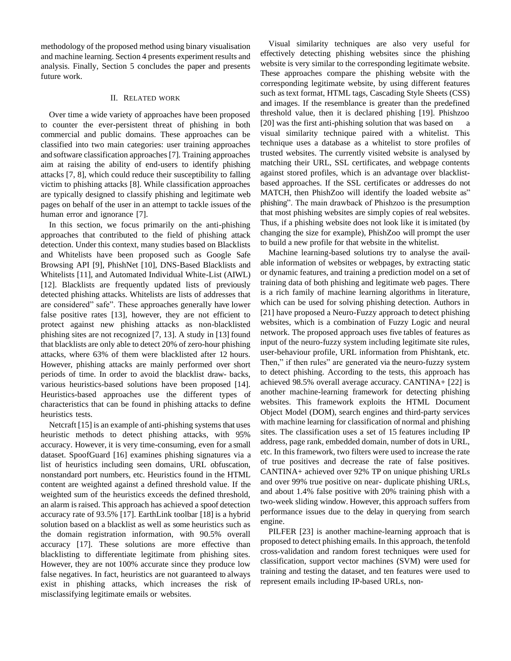methodology of the proposed method using binary visualisation and machine learning. Section 4 presents experiment results and analysis. Finally, Section 5 concludes the paper and presents future work.

### II. RELATED WORK

Over time a wide variety of approaches have been proposed to counter the ever-persistent threat of phishing in both commercial and public domains. These approaches can be classified into two main categories: user training approaches and software classification approaches [7]. Training approaches aim at raising the ability of end-users to identify phishing attacks [7, 8], which could reduce their susceptibility to falling victim to phishing attacks [8]. While classification approaches are typically designed to classify phishing and legitimate web pages on behalf of the user in an attempt to tackle issues of the human error and ignorance [7].

In this section, we focus primarily on the anti-phishing approaches that contributed to the field of phishing attack detection. Under this context, many studies based on Blacklists and Whitelists have been proposed such as Google Safe Browsing API [9], PhishNet [10], DNS-Based Blacklists and Whitelists [11], and Automated Individual White-List (AIWL) [12]. Blacklists are frequently updated lists of previously detected phishing attacks. Whitelists are lists of addresses that are considered" safe". These approaches generally have lower false positive rates [13], however, they are not efficient to protect against new phishing attacks as non-blacklisted phishing sites are not recognized [7, 13]. A study in [13] found that blacklists are only able to detect 20% of zero-hour phishing attacks, where 63% of them were blacklisted after 12 hours. However, phishing attacks are mainly performed over short periods of time. In order to avoid the blacklist draw- backs, various heuristics-based solutions have been proposed [14]. Heuristics-based approaches use the different types of characteristics that can be found in phishing attacks to define heuristics tests.

Netcraft [15] is an example of anti-phishing systems that uses heuristic methods to detect phishing attacks, with 95% accuracy. However, it is very time-consuming, even for a small dataset. SpoofGuard [16] examines phishing signatures via a list of heuristics including seen domains, URL obfuscation, nonstandard port numbers, etc. Heuristics found in the HTML content are weighted against a defined threshold value. If the weighted sum of the heuristics exceeds the defined threshold, an alarm is raised. This approach has achieved a spoof detection accuracy rate of 93.5% [17]. EarthLink toolbar [18] is a hybrid solution based on a blacklist as well as some heuristics such as the domain registration information, with 90.5% overall accuracy [17]. These solutions are more effective than blacklisting to differentiate legitimate from phishing sites. However, they are not 100% accurate since they produce low false negatives. In fact, heuristics are not guaranteed to always exist in phishing attacks, which increases the risk of misclassifying legitimate emails or websites.

Visual similarity techniques are also very useful for effectively detecting phishing websites since the phishing website is very similar to the corresponding legitimate website. These approaches compare the phishing website with the corresponding legitimate website, by using different features such astext format, HTML tags, Cascading Style Sheets (CSS) and images. If the resemblance is greater than the predefined threshold value, then it is declared phishing [19]. Phishzoo [20] was the first anti-phishing solution that was based on a visual similarity technique paired with a whitelist. This technique uses a database as a whitelist to store profiles of trusted websites. The currently visited website is analysed by matching their URL, SSL certificates, and webpage contents against stored profiles, which is an advantage over blacklistbased approaches. If the SSL certificates or addresses do not MATCH, then PhishZoo will identify the loaded website as" phishing". The main drawback of Phishzoo is the presumption that most phishing websites are simply copies of real websites. Thus, if a phishing website does not look like it is imitated (by changing the size for example), PhishZoo will prompt the user to build a new profile for that website in the whitelist.

Machine learning-based solutions try to analyse the available information of websites or webpages, by extracting static or dynamic features, and training a prediction model on a set of training data of both phishing and legitimate web pages. There is a rich family of machine learning algorithms in literature, which can be used for solving phishing detection. Authors in [21] have proposed a Neuro-Fuzzy approach to detect phishing websites, which is a combination of Fuzzy Logic and neural network. The proposed approach uses five tables of features as input of the neuro-fuzzy system including legitimate site rules, user-behaviour profile, URL information from Phishtank, etc. Then," if then rules" are generated via the neuro-fuzzy system to detect phishing. According to the tests, this approach has achieved 98.5% overall average accuracy. CANTINA+ [22] is another machine-learning framework for detecting phishing websites. This framework exploits the HTML Document Object Model (DOM), search engines and third-party services with machine learning for classification of normal and phishing sites. The classification uses a set of 15 features including IP address, page rank, embedded domain, number of dots in URL, etc. In this framework, two filters were used to increase the rate of true positives and decrease the rate of false positives. CANTINA+ achieved over 92% TP on unique phishing URLs and over 99% true positive on near- duplicate phishing URLs, and about 1.4% false positive with 20% training phish with a two-week sliding window. However, this approach suffers from performance issues due to the delay in querying from search engine.

PILFER [23] is another machine-learning approach that is proposed to detect phishing emails. In this approach, the tenfold cross-validation and random forest techniques were used for classification, support vector machines (SVM) were used for training and testing the dataset, and ten features were used to represent emails including IP-based URLs, non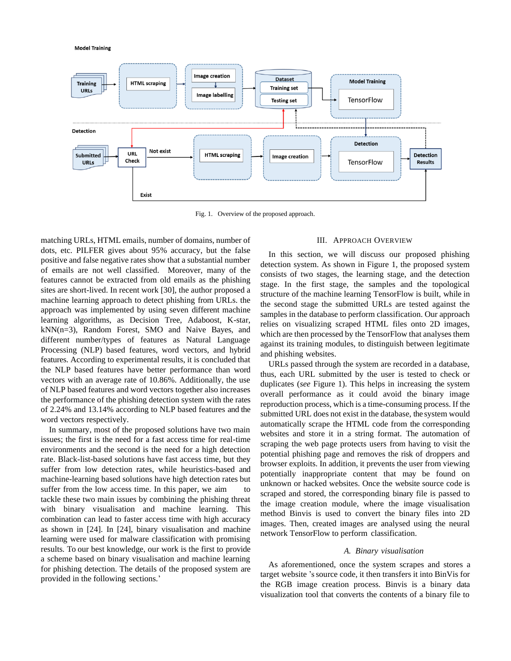**Model Training** 



Fig. 1. Overview of the proposed approach.

matching URLs, HTML emails, number of domains, number of dots, etc. PILFER gives about 95% accuracy, but the false positive and false negative rates show that a substantial number of emails are not well classified. Moreover, many of the features cannot be extracted from old emails as the phishing sites are short-lived. In recent work [30], the author proposed a machine learning approach to detect phishing from URLs. the approach was implemented by using seven different machine learning algorithms, as Decision Tree, Adaboost, K-star, kNN(n=3), Random Forest, SMO and Naive Bayes, and different number/types of features as Natural Language Processing (NLP) based features, word vectors, and hybrid features. According to experimental results, it is concluded that the NLP based features have better performance than word vectors with an average rate of 10.86%. Additionally, the use of NLP based features and word vectors together also increases the performance of the phishing detection system with the rates of 2.24% and 13.14% according to NLP based features and the word vectors respectively.

In summary, most of the proposed solutions have two main issues; the first is the need for a fast access time for real-time environments and the second is the need for a high detection rate. Black-list-based solutions have fast access time, but they suffer from low detection rates, while heuristics-based and machine-learning based solutions have high detection rates but suffer from the low access time. In this paper, we aim to tackle these two main issues by combining the phishing threat with binary visualisation and machine learning. This combination can lead to faster access time with high accuracy as shown in [24]. In [24], binary visualisation and machine learning were used for malware classification with promising results. To our best knowledge, our work is the first to provide a scheme based on binary visualisation and machine learning for phishing detection. The details of the proposed system are provided in the following sections.'

# III. APPROACH OVERVIEW

In this section, we will discuss our proposed phishing detection system. As shown in Figure 1, the proposed system consists of two stages, the learning stage, and the detection stage. In the first stage, the samples and the topological structure of the machine learning TensorFlow is built, while in the second stage the submitted URLs are tested against the samples in the database to perform classification. Our approach relies on visualizing scraped HTML files onto 2D images, which are then processed by the TensorFlow that analyses them against its training modules, to distinguish between legitimate and phishing websites.

URLs passed through the system are recorded in a database, thus, each URL submitted by the user is tested to check or duplicates (*see* Figure 1). This helps in increasing the system overall performance as it could avoid the binary image reproduction process, which is a time-consuming process. If the submitted URL does not exist in the database, the system would automatically scrape the HTML code from the corresponding websites and store it in a string format. The automation of scraping the web page protects users from having to visit the potential phishing page and removes the risk of droppers and browser exploits. In addition, it prevents the user from viewing potentially inappropriate content that may be found on unknown or hacked websites. Once the website source code is scraped and stored, the corresponding binary file is passed to the image creation module, where the image visualisation method Binvis is used to convert the binary files into 2D images. Then, created images are analysed using the neural network TensorFlow to perform classification.

# *A. Binary visualisation*

As aforementioned, once the system scrapes and stores a target website 's source code, it then transfers it into BinVis for the RGB image creation process. Binvis is a binary data visualization tool that converts the contents of a binary file to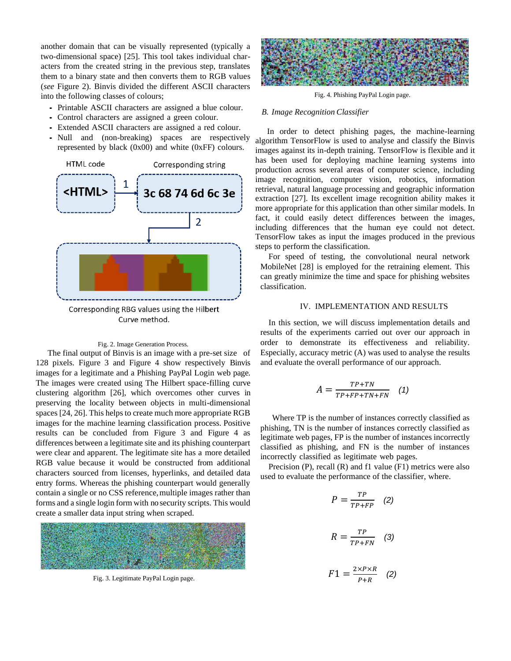another domain that can be visually represented (typically a two-dimensional space) [25]. This tool takes individual characters from the created string in the previous step, translates them to a binary state and then converts them to RGB values (*see* Figure 2). Binvis divided the different ASCII characters into the following classes of colours;

- *•* Printable ASCII characters are assigned a blue colour.
- *•* Control characters are assigned a green colour.
- *•* Extended ASCII characters are assigned a red colour.
- *•* Null and (non-breaking) spaces are respectively represented by black (0x00) and white (0xFF) colours.



Curve method.

# Fig. 2. Image Generation Process.

The final output of Binvis is an image with a pre-set size of 128 pixels. Figure 3 and Figure 4 show respectively Binvis images for a legitimate and a Phishing PayPal Login web page. The images were created using The Hilbert space-filling curve clustering algorithm [26], which overcomes other curves in preserving the locality between objects in multi-dimensional spaces [24, 26]. This helps to create much more appropriate RGB images for the machine learning classification process. Positive results can be concluded from Figure 3 and Figure 4 as differences between a legitimate site and its phishing counterpart were clear and apparent. The legitimate site has a more detailed RGB value because it would be constructed from additional characters sourced from licenses, hyperlinks, and detailed data entry forms. Whereas the phishing counterpart would generally contain a single or no CSS reference, multiple images rather than forms and a single login form with no security scripts. This would create a smaller data input string when scraped.



Fig. 3. Legitimate PayPal Login page.



Fig. 4. Phishing PayPal Login page.

# *B. Image Recognition Classifier*

In order to detect phishing pages, the machine-learning algorithm TensorFlow is used to analyse and classify the Binvis images against its in-depth training. TensorFlow is flexible and it has been used for deploying machine learning systems into production across several areas of computer science, including image recognition, computer vision, robotics, information retrieval, natural language processing and geographic information extraction [27]. Its excellent image recognition ability makes it more appropriate for this application than other similar models. In fact, it could easily detect differences between the images, including differences that the human eye could not detect. TensorFlow takes as input the images produced in the previous steps to perform the classification.

For speed of testing, the convolutional neural network MobileNet [28] is employed for the retraining element. This can greatly minimize the time and space for phishing websites classification.

## IV. IMPLEMENTATION AND RESULTS

In this section, we will discuss implementation details and results of the experiments carried out over our approach in order to demonstrate its effectiveness and reliability. Especially, accuracy metric (A) was used to analyse the results and evaluate the overall performance of our approach.

$$
A = \frac{TP + TN}{TP + FP + TN + FN} \quad (1)
$$

Where TP is the number of instances correctly classified as phishing, TN is the number of instances correctly classified as legitimate web pages, FP is the number of instances incorrectly classified as phishing, and FN is the number of instances incorrectly classified as legitimate web pages.

Precision (P), recall (R) and f1 value (F1) metrics were also used to evaluate the performance of the classifier, where.

$$
P = \frac{TP}{TP + FP} \quad (2)
$$

$$
R = \frac{TP}{TP + FN} \quad (3)
$$

$$
F1 = \frac{2 \times P \times R}{P + R} \quad (2)
$$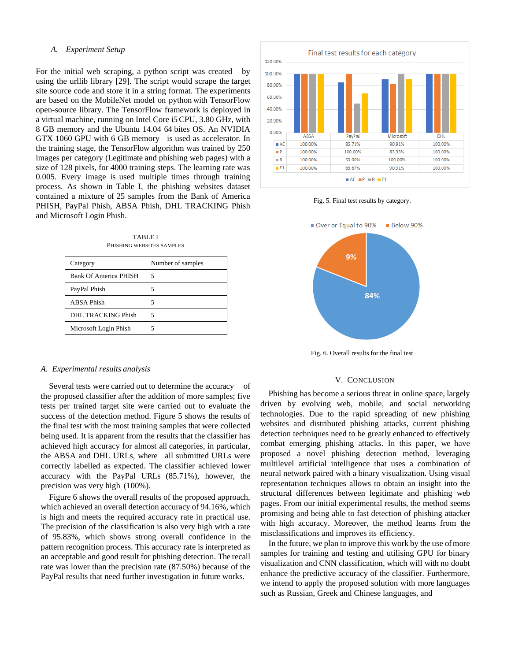#### *A. Experiment Setup*

For the initial web scraping, a python script was created by using the urllib library [29]. The script would scrape the target site source code and store it in a string format. The experiments are based on the MobileNet model on python with TensorFlow open-source library. The TensorFlow framework is deployed in a virtual machine, running on Intel Core i5 CPU, 3.80 GHz, with 8 GB memory and the Ubuntu 14.04 64 bites OS. An NVIDIA GTX 1060 GPU with 6 GB memory is used as accelerator. In the training stage, the TensorFlow algorithm was trained by 250 images per category (Legitimate and phishing web pages) with a size of 128 pixels, for 4000 training steps. The learning rate was 0.005. Every image is used multiple times through training process. As shown in Table I, the phishing websites dataset contained a mixture of 25 samples from the Bank of America PHISH, PayPal Phish, ABSA Phish, DHL TRACKING Phish and Microsoft Login Phish.

TABLE I PHISHING WEBSITES SAMPLES

| Category              | Number of samples |
|-----------------------|-------------------|
| Bank Of America PHISH | 5                 |
| PayPal Phish          | 5                 |
| <b>ABSA Phish</b>     | 5                 |
| DHL TRACKING Phish    | 5                 |
| Microsoft Login Phish | 5                 |

#### *A. Experimental results analysis*

Several tests were carried out to determine the accuracy of the proposed classifier after the addition of more samples; five tests per trained target site were carried out to evaluate the success of the detection method. Figure 5 shows the results of the final test with the most training samples that were collected being used. It is apparent from the results that the classifier has achieved high accuracy for almost all categories, in particular, the ABSA and DHL URLs, where all submitted URLs were correctly labelled as expected. The classifier achieved lower accuracy with the PayPal URLs (85.71%), however, the precision was very high (100%).

Figure 6 shows the overall results of the proposed approach, which achieved an overall detection accuracy of 94.16%, which is high and meets the required accuracy rate in practical use. The precision of the classification is also very high with a rate of 95.83%, which shows strong overall confidence in the pattern recognition process. This accuracy rate is interpreted as an acceptable and good result for phishing detection. The recall rate was lower than the precision rate (87.50%) because of the PayPal results that need further investigation in future works.



Fig. 5. Final test results by category.



Fig. 6. Overall results for the final test

#### V. CONCLUSION

Phishing has become a serious threat in online space, largely driven by evolving web, mobile, and social networking technologies. Due to the rapid spreading of new phishing websites and distributed phishing attacks, current phishing detection techniques need to be greatly enhanced to effectively combat emerging phishing attacks. In this paper, we have proposed a novel phishing detection method, leveraging multilevel artificial intelligence that uses a combination of neural network paired with a binary visualization. Using visual representation techniques allows to obtain an insight into the structural differences between legitimate and phishing web pages. From our initial experimental results, the method seems promising and being able to fast detection of phishing attacker with high accuracy. Moreover, the method learns from the misclassifications and improves its efficiency.

In the future, we plan to improve this work by the use of more samples for training and testing and utilising GPU for binary visualization and CNN classification, which will with no doubt enhance the predictive accuracy of the classifier. Furthermore, we intend to apply the proposed solution with more languages such as Russian, Greek and Chinese languages, and